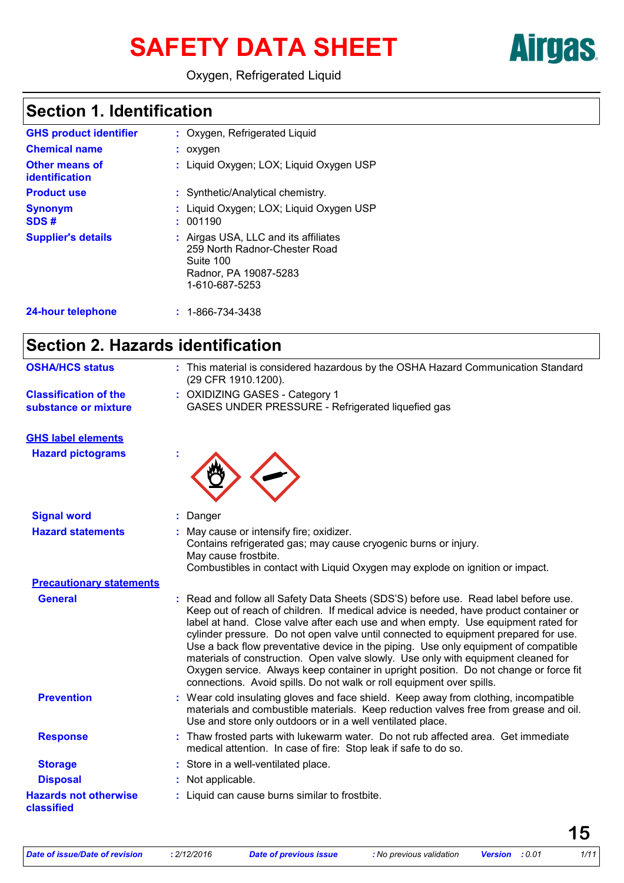# SAFETY DATA SHEET **Airgas**

Oxygen, Refrigerated Liquid

### **Section 1. Identification**

| <b>GHS product identifier</b><br><b>Chemical name</b> | : Oxygen, Refrigerated Liquid<br>$:$ oxygen                                                                                   |
|-------------------------------------------------------|-------------------------------------------------------------------------------------------------------------------------------|
| <b>Other means of</b><br>identification               | : Liquid Oxygen; LOX; Liquid Oxygen USP                                                                                       |
| <b>Product use</b>                                    | : Synthetic/Analytical chemistry.                                                                                             |
| <b>Synonym</b><br>SDS#                                | : Liquid Oxygen; LOX; Liquid Oxygen USP<br>: 001190                                                                           |
| <b>Supplier's details</b>                             | : Airgas USA, LLC and its affiliates<br>259 North Radnor-Chester Road<br>Suite 100<br>Radnor, PA 19087-5283<br>1-610-687-5253 |
| <b>24-hour telephone</b>                              | $: 1 - 866 - 734 - 3438$                                                                                                      |

### **Section 2. Hazards identification**

| <b>OSHA/HCS status</b>                               | : This material is considered hazardous by the OSHA Hazard Communication Standard<br>(29 CFR 1910.1200).                                                                                                                                                                                                                                                                                                                                                                                                                                                                                                                                                                                             |
|------------------------------------------------------|------------------------------------------------------------------------------------------------------------------------------------------------------------------------------------------------------------------------------------------------------------------------------------------------------------------------------------------------------------------------------------------------------------------------------------------------------------------------------------------------------------------------------------------------------------------------------------------------------------------------------------------------------------------------------------------------------|
| <b>Classification of the</b><br>substance or mixture | : OXIDIZING GASES - Category 1<br>GASES UNDER PRESSURE - Refrigerated liquefied gas                                                                                                                                                                                                                                                                                                                                                                                                                                                                                                                                                                                                                  |
| <b>GHS label elements</b>                            |                                                                                                                                                                                                                                                                                                                                                                                                                                                                                                                                                                                                                                                                                                      |
| <b>Hazard pictograms</b>                             |                                                                                                                                                                                                                                                                                                                                                                                                                                                                                                                                                                                                                                                                                                      |
| <b>Signal word</b>                                   | Danger                                                                                                                                                                                                                                                                                                                                                                                                                                                                                                                                                                                                                                                                                               |
| <b>Hazard statements</b>                             | May cause or intensify fire; oxidizer.<br>Contains refrigerated gas; may cause cryogenic burns or injury.<br>May cause frostbite.<br>Combustibles in contact with Liquid Oxygen may explode on ignition or impact.                                                                                                                                                                                                                                                                                                                                                                                                                                                                                   |
| <b>Precautionary statements</b>                      |                                                                                                                                                                                                                                                                                                                                                                                                                                                                                                                                                                                                                                                                                                      |
| <b>General</b>                                       | Read and follow all Safety Data Sheets (SDS'S) before use. Read label before use.<br>Keep out of reach of children. If medical advice is needed, have product container or<br>label at hand. Close valve after each use and when empty. Use equipment rated for<br>cylinder pressure. Do not open valve until connected to equipment prepared for use.<br>Use a back flow preventative device in the piping. Use only equipment of compatible<br>materials of construction. Open valve slowly. Use only with equipment cleaned for<br>Oxygen service. Always keep container in upright position. Do not change or force fit<br>connections. Avoid spills. Do not walk or roll equipment over spills. |
| <b>Prevention</b>                                    | : Wear cold insulating gloves and face shield. Keep away from clothing, incompatible<br>materials and combustible materials. Keep reduction valves free from grease and oil.<br>Use and store only outdoors or in a well ventilated place.                                                                                                                                                                                                                                                                                                                                                                                                                                                           |
| <b>Response</b>                                      | : Thaw frosted parts with lukewarm water. Do not rub affected area. Get immediate<br>medical attention. In case of fire: Stop leak if safe to do so.                                                                                                                                                                                                                                                                                                                                                                                                                                                                                                                                                 |
| <b>Storage</b>                                       | : Store in a well-ventilated place.                                                                                                                                                                                                                                                                                                                                                                                                                                                                                                                                                                                                                                                                  |
| <b>Disposal</b>                                      | Not applicable.                                                                                                                                                                                                                                                                                                                                                                                                                                                                                                                                                                                                                                                                                      |
| <b>Hazards not otherwise</b><br>classified           | : Liquid can cause burns similar to frostbite.                                                                                                                                                                                                                                                                                                                                                                                                                                                                                                                                                                                                                                                       |
|                                                      |                                                                                                                                                                                                                                                                                                                                                                                                                                                                                                                                                                                                                                                                                                      |

**15**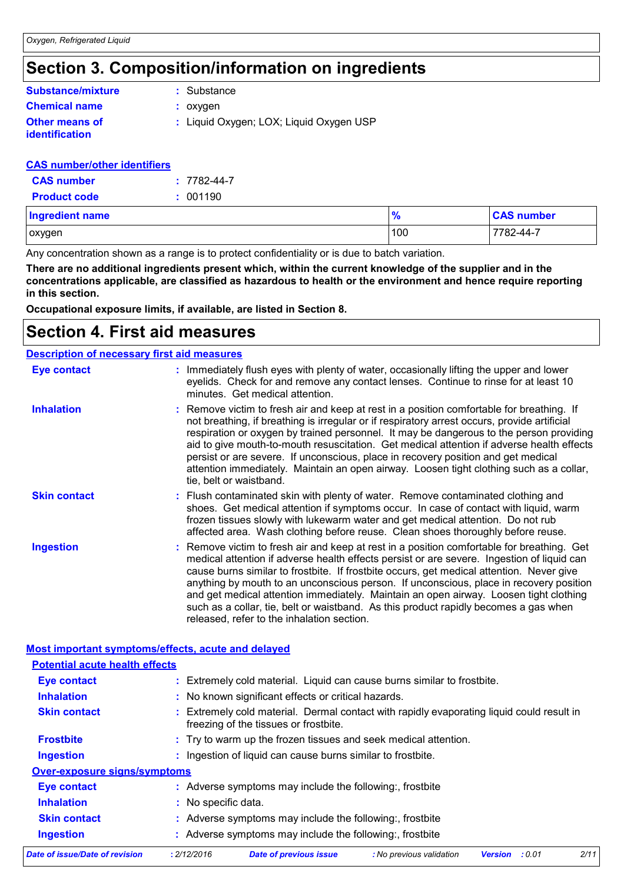# **Section 3. Composition/information on ingredients**

| <b>Substance/mixture</b>                       | : Substance                             |
|------------------------------------------------|-----------------------------------------|
| <b>Chemical name</b>                           | : oxygen                                |
| <b>Other means of</b><br><i>identification</i> | : Liquid Oxygen; LOX; Liquid Oxygen USP |

#### **CAS number/other identifiers**

| <b>CAS</b> number   | $: 7782 - 44 - 7$ |
|---------------------|-------------------|
| <b>Product code</b> | : 001190          |

| <b>Ingredient name</b> | $\Omega$<br>70 | <b>CAS number</b> |
|------------------------|----------------|-------------------|
| oxygen                 | 100            | 7782-44-7         |

Any concentration shown as a range is to protect confidentiality or is due to batch variation.

**There are no additional ingredients present which, within the current knowledge of the supplier and in the concentrations applicable, are classified as hazardous to health or the environment and hence require reporting in this section.**

**Occupational exposure limits, if available, are listed in Section 8.**

### **Section 4. First aid measures**

|                     | <b>Description of necessary first aid measures</b>                                                                                                                                                                                                                                                                                                                                                                                                                                                                                                                                                            |
|---------------------|---------------------------------------------------------------------------------------------------------------------------------------------------------------------------------------------------------------------------------------------------------------------------------------------------------------------------------------------------------------------------------------------------------------------------------------------------------------------------------------------------------------------------------------------------------------------------------------------------------------|
| <b>Eye contact</b>  | : Immediately flush eyes with plenty of water, occasionally lifting the upper and lower<br>eyelids. Check for and remove any contact lenses. Continue to rinse for at least 10<br>minutes. Get medical attention.                                                                                                                                                                                                                                                                                                                                                                                             |
| <b>Inhalation</b>   | : Remove victim to fresh air and keep at rest in a position comfortable for breathing. If<br>not breathing, if breathing is irregular or if respiratory arrest occurs, provide artificial<br>respiration or oxygen by trained personnel. It may be dangerous to the person providing<br>aid to give mouth-to-mouth resuscitation. Get medical attention if adverse health effects<br>persist or are severe. If unconscious, place in recovery position and get medical<br>attention immediately. Maintain an open airway. Loosen tight clothing such as a collar,<br>tie, belt or waistband.                  |
| <b>Skin contact</b> | : Flush contaminated skin with plenty of water. Remove contaminated clothing and<br>shoes. Get medical attention if symptoms occur. In case of contact with liquid, warm<br>frozen tissues slowly with lukewarm water and get medical attention. Do not rub<br>affected area. Wash clothing before reuse. Clean shoes thoroughly before reuse.                                                                                                                                                                                                                                                                |
| <b>Ingestion</b>    | : Remove victim to fresh air and keep at rest in a position comfortable for breathing. Get<br>medical attention if adverse health effects persist or are severe. Ingestion of liquid can<br>cause burns similar to frostbite. If frostbite occurs, get medical attention. Never give<br>anything by mouth to an unconscious person. If unconscious, place in recovery position<br>and get medical attention immediately. Maintain an open airway. Loosen tight clothing<br>such as a collar, tie, belt or waistband. As this product rapidly becomes a gas when<br>released, refer to the inhalation section. |

| Date of issue/Date of revision                     | : 2/12/2016         | <b>Date of previous issue</b>                                                                                                      | : No previous validation | <b>Version</b> | : 0.01 | 2/11 |
|----------------------------------------------------|---------------------|------------------------------------------------------------------------------------------------------------------------------------|--------------------------|----------------|--------|------|
| <b>Ingestion</b>                                   |                     | : Adverse symptoms may include the following:, frostbite                                                                           |                          |                |        |      |
| <b>Skin contact</b>                                |                     | : Adverse symptoms may include the following:, frostbite                                                                           |                          |                |        |      |
| <b>Inhalation</b>                                  | : No specific data. |                                                                                                                                    |                          |                |        |      |
| <b>Eye contact</b>                                 |                     | : Adverse symptoms may include the following:, frostbite                                                                           |                          |                |        |      |
| <b>Over-exposure signs/symptoms</b>                |                     |                                                                                                                                    |                          |                |        |      |
| <b>Ingestion</b>                                   |                     | : Ingestion of liquid can cause burns similar to frostbite.                                                                        |                          |                |        |      |
| <b>Frostbite</b>                                   |                     | : Try to warm up the frozen tissues and seek medical attention.                                                                    |                          |                |        |      |
| <b>Skin contact</b>                                |                     | : Extremely cold material. Dermal contact with rapidly evaporating liquid could result in<br>freezing of the tissues or frostbite. |                          |                |        |      |
| <b>Inhalation</b>                                  |                     | : No known significant effects or critical hazards.                                                                                |                          |                |        |      |
| <b>Eye contact</b>                                 |                     | : Extremely cold material. Liquid can cause burns similar to frostbite.                                                            |                          |                |        |      |
| <b>Potential acute health effects</b>              |                     |                                                                                                                                    |                          |                |        |      |
| Most important symptoms/effects, acute and delayed |                     |                                                                                                                                    |                          |                |        |      |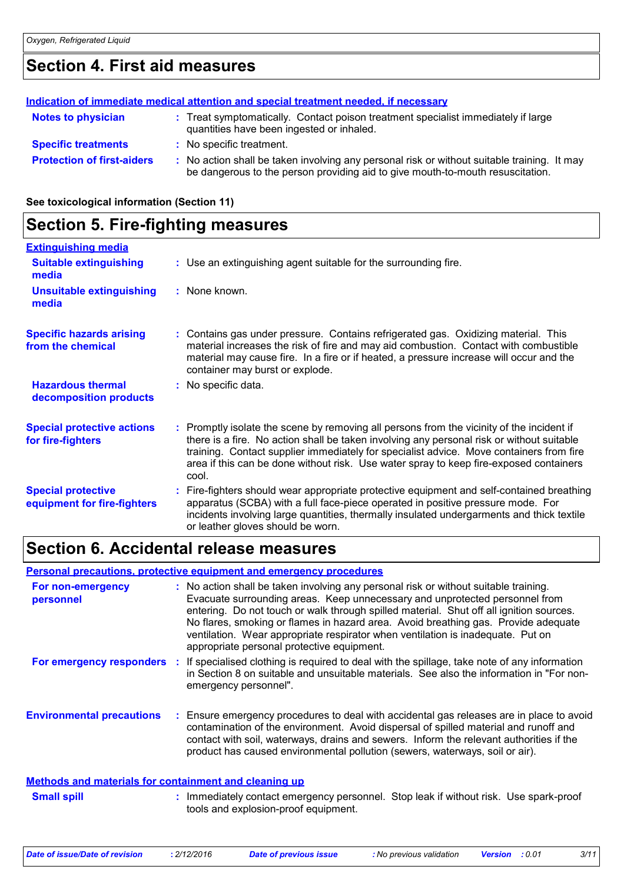# **Section 4. First aid measures**

|                                   | Indication of immediate medical attention and special treatment needed, if necessary                                                                                        |
|-----------------------------------|-----------------------------------------------------------------------------------------------------------------------------------------------------------------------------|
| <b>Notes to physician</b>         | : Treat symptomatically. Contact poison treatment specialist immediately if large<br>quantities have been ingested or inhaled.                                              |
| <b>Specific treatments</b>        | : No specific treatment.                                                                                                                                                    |
| <b>Protection of first-aiders</b> | No action shall be taken involving any personal risk or without suitable training. It may<br>be dangerous to the person providing aid to give mouth-to-mouth resuscitation. |

**See toxicological information (Section 11)**

### **Section 5. Fire-fighting measures**

| <b>Extinguishing media</b>                               |                                                                                                                                                                                                                                                                                                                                                                                      |
|----------------------------------------------------------|--------------------------------------------------------------------------------------------------------------------------------------------------------------------------------------------------------------------------------------------------------------------------------------------------------------------------------------------------------------------------------------|
| <b>Suitable extinguishing</b><br>media                   | : Use an extinguishing agent suitable for the surrounding fire.                                                                                                                                                                                                                                                                                                                      |
| <b>Unsuitable extinguishing</b><br>media                 | : None known.                                                                                                                                                                                                                                                                                                                                                                        |
| <b>Specific hazards arising</b><br>from the chemical     | Contains gas under pressure. Contains refrigerated gas. Oxidizing material. This<br>material increases the risk of fire and may aid combustion. Contact with combustible<br>material may cause fire. In a fire or if heated, a pressure increase will occur and the<br>container may burst or explode.                                                                               |
| <b>Hazardous thermal</b><br>decomposition products       | : No specific data.                                                                                                                                                                                                                                                                                                                                                                  |
| <b>Special protective actions</b><br>for fire-fighters   | : Promptly isolate the scene by removing all persons from the vicinity of the incident if<br>there is a fire. No action shall be taken involving any personal risk or without suitable<br>training. Contact supplier immediately for specialist advice. Move containers from fire<br>area if this can be done without risk. Use water spray to keep fire-exposed containers<br>cool. |
| <b>Special protective</b><br>equipment for fire-fighters | Fire-fighters should wear appropriate protective equipment and self-contained breathing<br>apparatus (SCBA) with a full face-piece operated in positive pressure mode. For<br>incidents involving large quantities, thermally insulated undergarments and thick textile<br>or leather gloves should be worn.                                                                         |

# **Section 6. Accidental release measures**

#### **Personal precautions, protective equipment and emergency procedures**

| For non-emergency<br>personnel                        | : No action shall be taken involving any personal risk or without suitable training.<br>Evacuate surrounding areas. Keep unnecessary and unprotected personnel from<br>entering. Do not touch or walk through spilled material. Shut off all ignition sources.<br>No flares, smoking or flames in hazard area. Avoid breathing gas. Provide adequate<br>ventilation. Wear appropriate respirator when ventilation is inadequate. Put on<br>appropriate personal protective equipment. |
|-------------------------------------------------------|---------------------------------------------------------------------------------------------------------------------------------------------------------------------------------------------------------------------------------------------------------------------------------------------------------------------------------------------------------------------------------------------------------------------------------------------------------------------------------------|
|                                                       | For emergency responders : If specialised clothing is required to deal with the spillage, take note of any information<br>in Section 8 on suitable and unsuitable materials. See also the information in "For non-<br>emergency personnel".                                                                                                                                                                                                                                           |
| <b>Environmental precautions</b>                      | : Ensure emergency procedures to deal with accidental gas releases are in place to avoid<br>contamination of the environment. Avoid dispersal of spilled material and runoff and<br>contact with soil, waterways, drains and sewers. Inform the relevant authorities if the<br>product has caused environmental pollution (sewers, waterways, soil or air).                                                                                                                           |
| Methods and materials for containment and cleaning up |                                                                                                                                                                                                                                                                                                                                                                                                                                                                                       |

#### : Immediately contact emergency personnel. Stop leak if without risk. Use spark-proof tools and explosion-proof equipment. **Small spill :**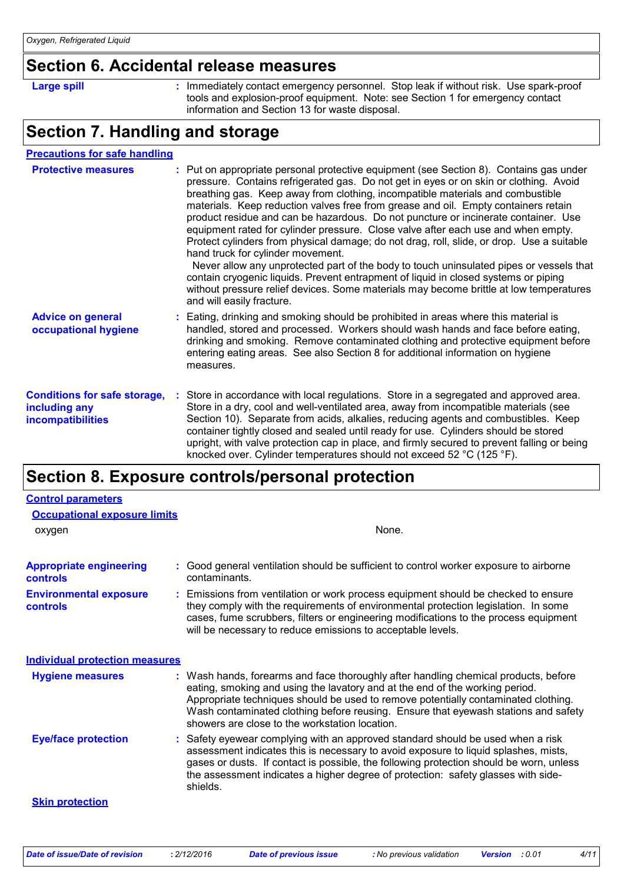### **Section 6. Accidental release measures**

|  | г |  |  |
|--|---|--|--|
|  |   |  |  |

**Large spill Example 20 Contact emergency personnel.** Stop leak if without risk. Use spark-proof **contact emergency** tools and explosion-proof equipment. Note: see Section 1 for emergency contact information and Section 13 for waste disposal.

# **Section 7. Handling and storage**

| <b>Precautions for safe handling</b>                                             |                                                                                                                                                                                                                                                                                                                                                                                                                                                                                                                                                                                                                                                                                                                                                                                                                                                                                                                                                                               |
|----------------------------------------------------------------------------------|-------------------------------------------------------------------------------------------------------------------------------------------------------------------------------------------------------------------------------------------------------------------------------------------------------------------------------------------------------------------------------------------------------------------------------------------------------------------------------------------------------------------------------------------------------------------------------------------------------------------------------------------------------------------------------------------------------------------------------------------------------------------------------------------------------------------------------------------------------------------------------------------------------------------------------------------------------------------------------|
| <b>Protective measures</b>                                                       | : Put on appropriate personal protective equipment (see Section 8). Contains gas under<br>pressure. Contains refrigerated gas. Do not get in eyes or on skin or clothing. Avoid<br>breathing gas. Keep away from clothing, incompatible materials and combustible<br>materials. Keep reduction valves free from grease and oil. Empty containers retain<br>product residue and can be hazardous. Do not puncture or incinerate container. Use<br>equipment rated for cylinder pressure. Close valve after each use and when empty.<br>Protect cylinders from physical damage; do not drag, roll, slide, or drop. Use a suitable<br>hand truck for cylinder movement.<br>Never allow any unprotected part of the body to touch uninsulated pipes or vessels that<br>contain cryogenic liquids. Prevent entrapment of liquid in closed systems or piping<br>without pressure relief devices. Some materials may become brittle at low temperatures<br>and will easily fracture. |
| <b>Advice on general</b><br>occupational hygiene                                 | : Eating, drinking and smoking should be prohibited in areas where this material is<br>handled, stored and processed. Workers should wash hands and face before eating,<br>drinking and smoking. Remove contaminated clothing and protective equipment before<br>entering eating areas. See also Section 8 for additional information on hygiene<br>measures.                                                                                                                                                                                                                                                                                                                                                                                                                                                                                                                                                                                                                 |
| <b>Conditions for safe storage,</b><br>including any<br><b>incompatibilities</b> | : Store in accordance with local regulations. Store in a segregated and approved area.<br>Store in a dry, cool and well-ventilated area, away from incompatible materials (see<br>Section 10). Separate from acids, alkalies, reducing agents and combustibles. Keep<br>container tightly closed and sealed until ready for use. Cylinders should be stored<br>upright, with valve protection cap in place, and firmly secured to prevent falling or being<br>knocked over. Cylinder temperatures should not exceed 52 °C (125 °F).                                                                                                                                                                                                                                                                                                                                                                                                                                           |

### **Section 8. Exposure controls/personal protection**

| <b>Control parameters</b>                         |                                                                                                                                                                                                                                                                                                                                                                                                   |  |
|---------------------------------------------------|---------------------------------------------------------------------------------------------------------------------------------------------------------------------------------------------------------------------------------------------------------------------------------------------------------------------------------------------------------------------------------------------------|--|
| <b>Occupational exposure limits</b>               |                                                                                                                                                                                                                                                                                                                                                                                                   |  |
| oxygen                                            | None.                                                                                                                                                                                                                                                                                                                                                                                             |  |
| <b>Appropriate engineering</b><br><b>controls</b> | : Good general ventilation should be sufficient to control worker exposure to airborne<br>contaminants.                                                                                                                                                                                                                                                                                           |  |
| <b>Environmental exposure</b><br><b>controls</b>  | Emissions from ventilation or work process equipment should be checked to ensure<br>they comply with the requirements of environmental protection legislation. In some<br>cases, fume scrubbers, filters or engineering modifications to the process equipment<br>will be necessary to reduce emissions to acceptable levels.                                                                     |  |
| <b>Individual protection measures</b>             |                                                                                                                                                                                                                                                                                                                                                                                                   |  |
| <b>Hygiene measures</b>                           | : Wash hands, forearms and face thoroughly after handling chemical products, before<br>eating, smoking and using the lavatory and at the end of the working period.<br>Appropriate techniques should be used to remove potentially contaminated clothing.<br>Wash contaminated clothing before reusing. Ensure that eyewash stations and safety<br>showers are close to the workstation location. |  |
| <b>Eye/face protection</b>                        | : Safety eyewear complying with an approved standard should be used when a risk<br>assessment indicates this is necessary to avoid exposure to liquid splashes, mists,<br>gases or dusts. If contact is possible, the following protection should be worn, unless<br>the assessment indicates a higher degree of protection: safety glasses with side-<br>shields.                                |  |
| <b>Skin protection</b>                            |                                                                                                                                                                                                                                                                                                                                                                                                   |  |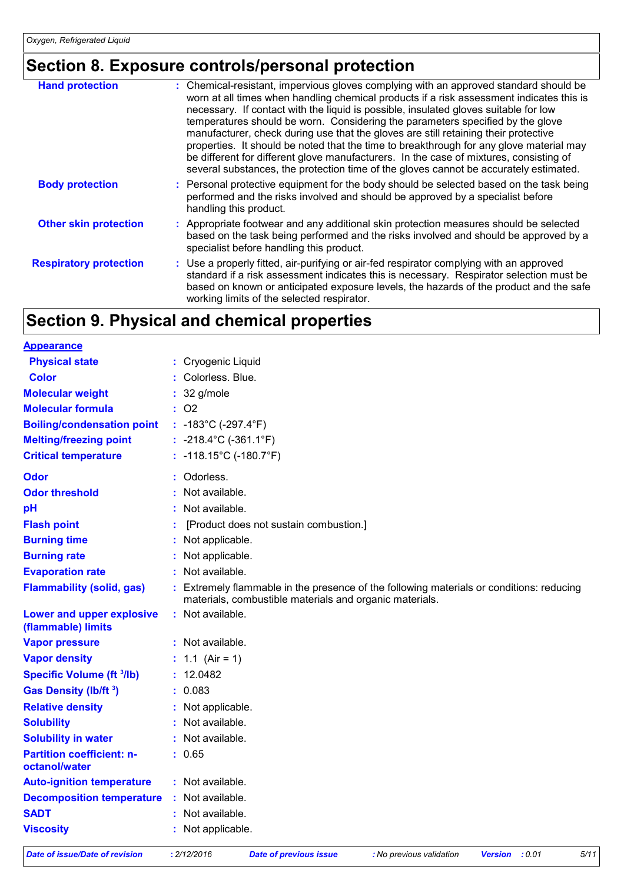# **Section 8. Exposure controls/personal protection**

| <b>Hand protection</b>        | : Chemical-resistant, impervious gloves complying with an approved standard should be<br>worn at all times when handling chemical products if a risk assessment indicates this is<br>necessary. If contact with the liquid is possible, insulated gloves suitable for low<br>temperatures should be worn. Considering the parameters specified by the glove<br>manufacturer, check during use that the gloves are still retaining their protective<br>properties. It should be noted that the time to breakthrough for any glove material may<br>be different for different glove manufacturers. In the case of mixtures, consisting of<br>several substances, the protection time of the gloves cannot be accurately estimated. |
|-------------------------------|----------------------------------------------------------------------------------------------------------------------------------------------------------------------------------------------------------------------------------------------------------------------------------------------------------------------------------------------------------------------------------------------------------------------------------------------------------------------------------------------------------------------------------------------------------------------------------------------------------------------------------------------------------------------------------------------------------------------------------|
| <b>Body protection</b>        | : Personal protective equipment for the body should be selected based on the task being<br>performed and the risks involved and should be approved by a specialist before<br>handling this product.                                                                                                                                                                                                                                                                                                                                                                                                                                                                                                                              |
| <b>Other skin protection</b>  | : Appropriate footwear and any additional skin protection measures should be selected<br>based on the task being performed and the risks involved and should be approved by a<br>specialist before handling this product.                                                                                                                                                                                                                                                                                                                                                                                                                                                                                                        |
| <b>Respiratory protection</b> | : Use a properly fitted, air-purifying or air-fed respirator complying with an approved<br>standard if a risk assessment indicates this is necessary. Respirator selection must be<br>based on known or anticipated exposure levels, the hazards of the product and the safe<br>working limits of the selected respirator.                                                                                                                                                                                                                                                                                                                                                                                                       |

# **Section 9. Physical and chemical properties**

| <b>Appearance</b>                                 |    |                                                                                                                                                   |
|---------------------------------------------------|----|---------------------------------------------------------------------------------------------------------------------------------------------------|
| <b>Physical state</b>                             |    | : Cryogenic Liquid                                                                                                                                |
| <b>Color</b>                                      |    | Colorless. Blue.                                                                                                                                  |
| <b>Molecular weight</b>                           |    | 32 g/mole                                                                                                                                         |
| <b>Molecular formula</b>                          |    | : 02                                                                                                                                              |
| <b>Boiling/condensation point</b>                 |    | : $-183^{\circ}$ C ( $-297.4^{\circ}$ F)                                                                                                          |
| <b>Melting/freezing point</b>                     |    | : $-218.4^{\circ}$ C ( $-361.1^{\circ}$ F)                                                                                                        |
| <b>Critical temperature</b>                       |    | : $-118.15^{\circ}$ C (-180.7°F)                                                                                                                  |
| <b>Odor</b>                                       |    | Odorless.                                                                                                                                         |
| <b>Odor threshold</b>                             | ŧ. | Not available.                                                                                                                                    |
| pH                                                |    | Not available.                                                                                                                                    |
| <b>Flash point</b>                                |    | [Product does not sustain combustion.]                                                                                                            |
| <b>Burning time</b>                               |    | Not applicable.                                                                                                                                   |
| <b>Burning rate</b>                               |    | Not applicable.                                                                                                                                   |
| <b>Evaporation rate</b>                           |    | Not available.                                                                                                                                    |
| <b>Flammability (solid, gas)</b>                  |    | Extremely flammable in the presence of the following materials or conditions: reducing<br>materials, combustible materials and organic materials. |
| Lower and upper explosive<br>(flammable) limits   | ÷. | Not available.                                                                                                                                    |
| <b>Vapor pressure</b>                             |    | : Not available.                                                                                                                                  |
| <b>Vapor density</b>                              |    | : $1.1$ (Air = 1)                                                                                                                                 |
| <b>Specific Volume (ft 3/lb)</b>                  |    | 12.0482                                                                                                                                           |
| Gas Density (lb/ft 3)                             |    | 0.083                                                                                                                                             |
| <b>Relative density</b>                           |    | Not applicable.                                                                                                                                   |
| <b>Solubility</b>                                 |    | Not available.                                                                                                                                    |
| <b>Solubility in water</b>                        |    | Not available.                                                                                                                                    |
| <b>Partition coefficient: n-</b><br>octanol/water |    | : 0.65                                                                                                                                            |
| <b>Auto-ignition temperature</b>                  | ÷. | Not available.                                                                                                                                    |
| <b>Decomposition temperature</b>                  |    | Not available.                                                                                                                                    |
| <b>SADT</b>                                       |    | Not available.                                                                                                                                    |
| <b>Viscosity</b>                                  |    | : Not applicable.                                                                                                                                 |

```
Date of issue/Date of revision : 2/12/2016 Date of previous issue : No previous validation Version : 0.01 5/11
```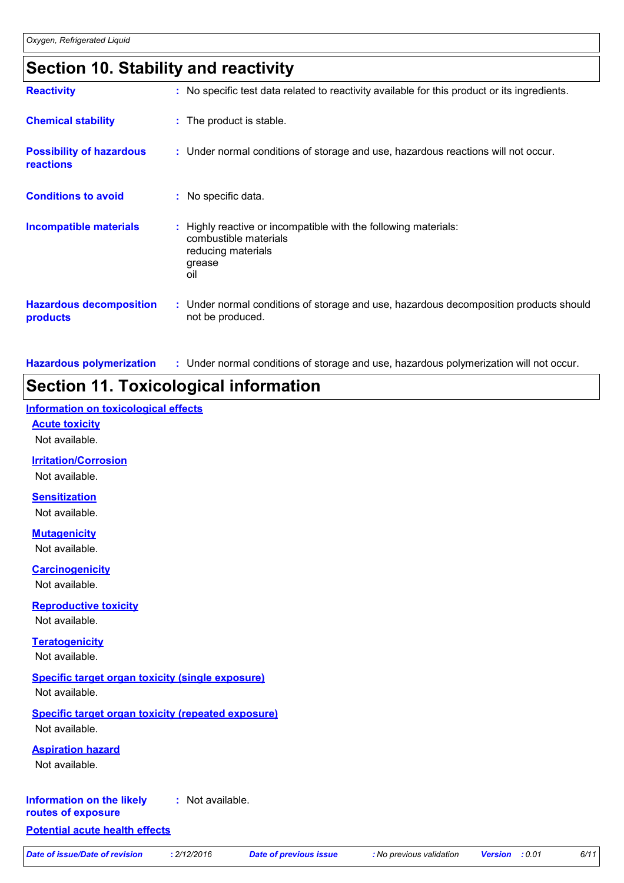### **Section 10. Stability and reactivity**

| <b>Reactivity</b>                            | : No specific test data related to reactivity available for this product or its ingredients.                                    |
|----------------------------------------------|---------------------------------------------------------------------------------------------------------------------------------|
| <b>Chemical stability</b>                    | : The product is stable.                                                                                                        |
| <b>Possibility of hazardous</b><br>reactions | : Under normal conditions of storage and use, hazardous reactions will not occur.                                               |
| <b>Conditions to avoid</b>                   | : No specific data.                                                                                                             |
| <b>Incompatible materials</b>                | : Highly reactive or incompatible with the following materials:<br>combustible materials<br>reducing materials<br>grease<br>oil |
| <b>Hazardous decomposition</b><br>products   | : Under normal conditions of storage and use, hazardous decomposition products should<br>not be produced.                       |

**Hazardous polymerization :** Under normal conditions of storage and use, hazardous polymerization will not occur.

# **Section 11. Toxicological information**

#### **Information on toxicological effects**

#### **Acute toxicity**

Not available.

#### **Irritation/Corrosion**

Not available.

#### **Sensitization**

Not available.

#### **Mutagenicity**

Not available.

# **Carcinogenicity**

Not available.

#### **Reproductive toxicity** Not available.

**Teratogenicity**

### Not available.

#### **Specific target organ toxicity (single exposure)**

Not available.

#### **Specific target organ toxicity (repeated exposure)** Not available.

**Aspiration hazard**

Not available.

#### **Information on the likely :** Not available.

**routes of exposure**

#### **Potential acute health effects**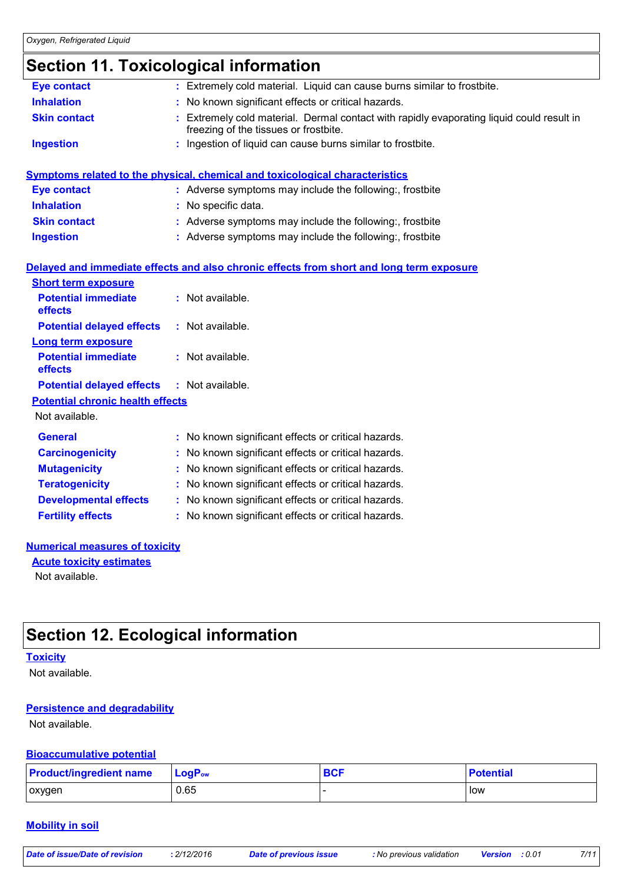# **Section 11. Toxicological information**

| <b>Eye contact</b>                      | : Extremely cold material. Liquid can cause burns similar to frostbite.                                                          |
|-----------------------------------------|----------------------------------------------------------------------------------------------------------------------------------|
| <b>Inhalation</b>                       | No known significant effects or critical hazards.                                                                                |
| <b>Skin contact</b>                     | Extremely cold material. Dermal contact with rapidly evaporating liquid could result in<br>freezing of the tissues or frostbite. |
| <b>Ingestion</b>                        | : Ingestion of liquid can cause burns similar to frostbite.                                                                      |
|                                         | <b>Symptoms related to the physical, chemical and toxicological characteristics</b>                                              |
| <b>Eye contact</b>                      | : Adverse symptoms may include the following:, frostbite                                                                         |
| <b>Inhalation</b>                       | No specific data.                                                                                                                |
| <b>Skin contact</b>                     | : Adverse symptoms may include the following:, frostbite                                                                         |
| <b>Ingestion</b>                        | : Adverse symptoms may include the following:, frostbite                                                                         |
|                                         | Delayed and immediate effects and also chronic effects from short and long term exposure                                         |
| <b>Short term exposure</b>              |                                                                                                                                  |
| <b>Potential immediate</b><br>effects   | : Not available.                                                                                                                 |
| <b>Potential delayed effects</b>        | : Not available.                                                                                                                 |
| <b>Long term exposure</b>               |                                                                                                                                  |
| <b>Potential immediate</b><br>effects   | : Not available.                                                                                                                 |
| <b>Potential delayed effects</b>        | $:$ Not available.                                                                                                               |
| <b>Potential chronic health effects</b> |                                                                                                                                  |
| Not available.                          |                                                                                                                                  |
| <b>General</b>                          | : No known significant effects or critical hazards.                                                                              |
|                                         |                                                                                                                                  |
| <b>Carcinogenicity</b>                  | : No known significant effects or critical hazards.                                                                              |
| <b>Mutagenicity</b>                     | No known significant effects or critical hazards.                                                                                |
| <b>Teratogenicity</b>                   | No known significant effects or critical hazards.                                                                                |
| <b>Developmental effects</b>            | No known significant effects or critical hazards.                                                                                |

#### **Numerical measures of toxicity**

**Acute toxicity estimates**

Not available.

### **Section 12. Ecological information**

#### **Toxicity**

Not available.

#### **Persistence and degradability**

Not available.

#### **Bioaccumulative potential**

| <b>Product/ingredient name</b> | $\mathsf{LogP}_\mathsf{ow}$ | <b>BCF</b> | Potential |
|--------------------------------|-----------------------------|------------|-----------|
| oxygen                         | 0.65                        |            | low       |

#### **Mobility in soil**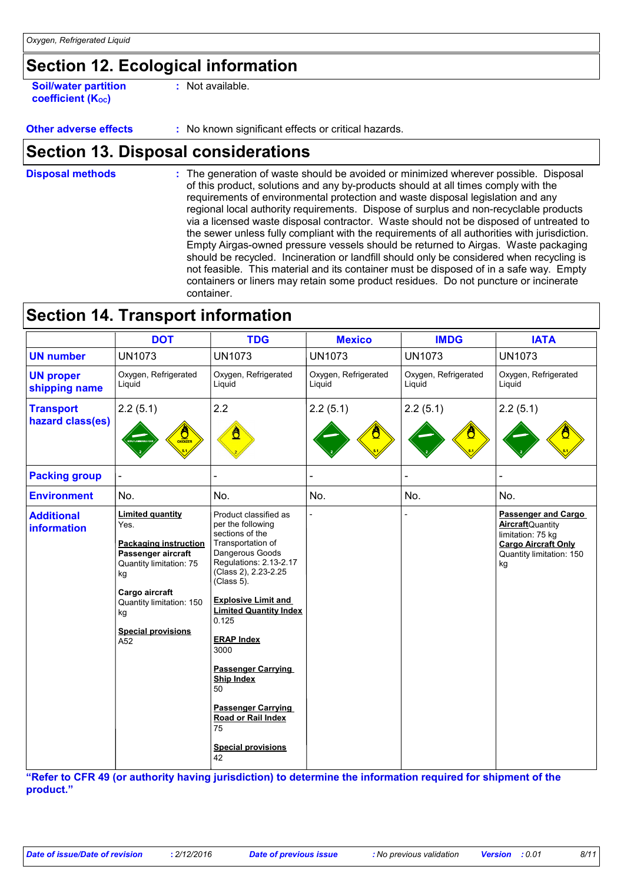# **Section 12. Ecological information**

**Soil/water partition coefficient (KOC)**

**:** Not available.

**Other adverse effects** : No known significant effects or critical hazards.

### **Section 13. Disposal considerations**

The generation of waste should be avoided or minimized wherever possible. Disposal of this product, solutions and any by-products should at all times comply with the requirements of environmental protection and waste disposal legislation and any regional local authority requirements. Dispose of surplus and non-recyclable products via a licensed waste disposal contractor. Waste should not be disposed of untreated to the sewer unless fully compliant with the requirements of all authorities with jurisdiction. Empty Airgas-owned pressure vessels should be returned to Airgas. Waste packaging should be recycled. Incineration or landfill should only be considered when recycling is not feasible. This material and its container must be disposed of in a safe way. Empty containers or liners may retain some product residues. Do not puncture or incinerate container. **Disposal methods :**

|                                         | <b>DOT</b>                                                                                                                                                                                                     | <b>TDG</b>                                                                                                                                                                                                                                                                                                                                                                                                                     | <b>Mexico</b>                  | <b>IMDG</b>                    | <b>IATA</b>                                                                                                                                 |
|-----------------------------------------|----------------------------------------------------------------------------------------------------------------------------------------------------------------------------------------------------------------|--------------------------------------------------------------------------------------------------------------------------------------------------------------------------------------------------------------------------------------------------------------------------------------------------------------------------------------------------------------------------------------------------------------------------------|--------------------------------|--------------------------------|---------------------------------------------------------------------------------------------------------------------------------------------|
| <b>UN number</b>                        | <b>UN1073</b>                                                                                                                                                                                                  | <b>UN1073</b>                                                                                                                                                                                                                                                                                                                                                                                                                  | <b>UN1073</b>                  | <b>UN1073</b>                  | <b>UN1073</b>                                                                                                                               |
| <b>UN proper</b><br>shipping name       | Oxygen, Refrigerated<br>Liquid                                                                                                                                                                                 | Oxygen, Refrigerated<br>Liquid                                                                                                                                                                                                                                                                                                                                                                                                 | Oxygen, Refrigerated<br>Liquid | Oxygen, Refrigerated<br>Liquid | Oxygen, Refrigerated<br>Liquid                                                                                                              |
| <b>Transport</b><br>hazard class(es)    | 2.2(5.1)<br><b>ONDIZER</b>                                                                                                                                                                                     | 2.2                                                                                                                                                                                                                                                                                                                                                                                                                            | 2.2(5.1)                       | 2.2(5.1)                       | 2.2(5.1)                                                                                                                                    |
| <b>Packing group</b>                    |                                                                                                                                                                                                                |                                                                                                                                                                                                                                                                                                                                                                                                                                |                                |                                |                                                                                                                                             |
| <b>Environment</b>                      | No.                                                                                                                                                                                                            | No.                                                                                                                                                                                                                                                                                                                                                                                                                            | No.                            | No.                            | No.                                                                                                                                         |
| <b>Additional</b><br><b>information</b> | <b>Limited quantity</b><br>Yes.<br><b>Packaging instruction</b><br>Passenger aircraft<br>Quantity limitation: 75<br>kg<br>Cargo aircraft<br>Quantity limitation: 150<br>kg<br><b>Special provisions</b><br>A52 | Product classified as<br>per the following<br>sections of the<br>Transportation of<br>Dangerous Goods<br>Regulations: 2.13-2.17<br>(Class 2), 2.23-2.25<br>(Class 5).<br><b>Explosive Limit and</b><br><b>Limited Quantity Index</b><br>0.125<br><b>ERAP Index</b><br>3000<br><b>Passenger Carrying</b><br><b>Ship Index</b><br>50<br><b>Passenger Carrying</b><br>Road or Rail Index<br>75<br><b>Special provisions</b><br>42 |                                |                                | <b>Passenger and Cargo</b><br><b>Aircraft</b> Quantity<br>limitation: 75 kg<br><b>Cargo Aircraft Only</b><br>Quantity limitation: 150<br>kg |

**Section 14. Transport information**

**"Refer to CFR 49 (or authority having jurisdiction) to determine the information required for shipment of the product."**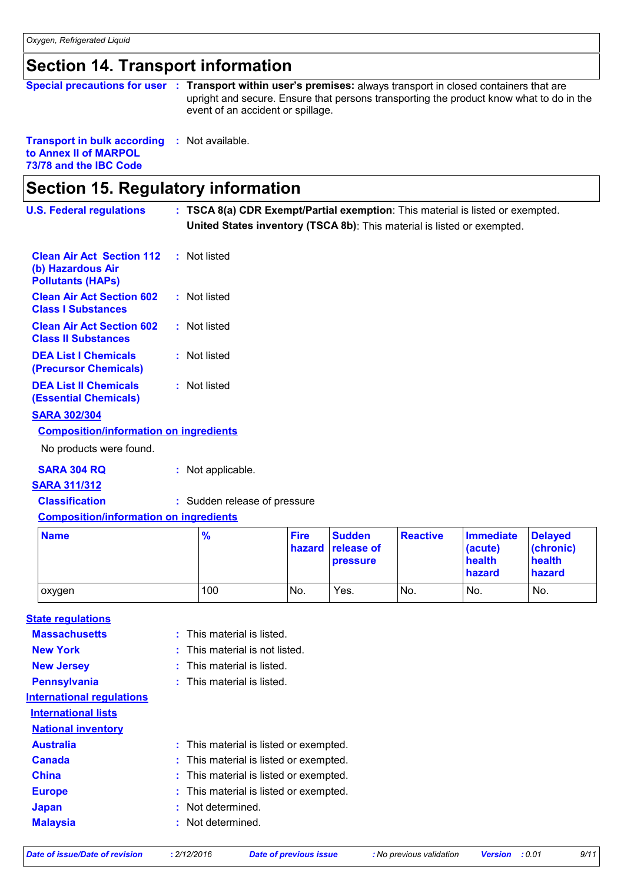# **Section 14. Transport information**

|                                                                                                        | Special precautions for user : Transport within user's premises: always transport in closed containers that are<br>upright and secure. Ensure that persons transporting the product know what to do in the<br>event of an accident or spillage. |
|--------------------------------------------------------------------------------------------------------|-------------------------------------------------------------------------------------------------------------------------------------------------------------------------------------------------------------------------------------------------|
| <b>Transport in bulk according : Not available.</b><br>to Annex II of MARPOL<br>73/78 and the IBC Code |                                                                                                                                                                                                                                                 |

# **Section 15. Regulatory information**

| <b>U.S. Federal regulations</b>                                                   |  | : TSCA 8(a) CDR Exempt/Partial exemption: This material is listed or exempted. |
|-----------------------------------------------------------------------------------|--|--------------------------------------------------------------------------------|
|                                                                                   |  | United States inventory (TSCA 8b): This material is listed or exempted.        |
| <b>Clean Air Act Section 112</b><br>(b) Hazardous Air<br><b>Pollutants (HAPS)</b> |  | : Not listed                                                                   |
| <b>Clean Air Act Section 602</b><br><b>Class I Substances</b>                     |  | : Not listed                                                                   |
| <b>Clean Air Act Section 602</b><br><b>Class II Substances</b>                    |  | : Not listed                                                                   |
| <b>DEA List I Chemicals</b><br>(Precursor Chemicals)                              |  | : Not listed                                                                   |
| <b>DEA List II Chemicals</b><br><b>(Essential Chemicals)</b>                      |  | : Not listed                                                                   |
| <b>SARA 302/304</b>                                                               |  |                                                                                |
| <b>Composition/information on ingredients</b>                                     |  |                                                                                |
| No products were found.                                                           |  |                                                                                |
| <b>SARA 304 RQ</b>                                                                |  | : Not applicable.                                                              |
| <b>SARA 311/312</b>                                                               |  |                                                                                |
| <b>Classification</b>                                                             |  | : Sudden release of pressure                                                   |

#### **Composition/information on ingredients**

| <b>Name</b> | $\frac{9}{6}$ | <b>Fire</b> | <b>Sudden</b><br>hazard release of<br><b>pressure</b> | <b>Reactive</b> | Immediate<br>(acute)<br>health<br><b>hazard</b> | Delayed<br>(chronic)<br>health<br><b>hazard</b> |
|-------------|---------------|-------------|-------------------------------------------------------|-----------------|-------------------------------------------------|-------------------------------------------------|
| oxygen      | 100           | No.         | Yes.                                                  | INo.            | No.                                             | No.                                             |

#### **Massachusetts State regulations**

|  | This material is listed |  |
|--|-------------------------|--|
|  |                         |  |

| <b>New York</b>                  | : This material is not listed.         |
|----------------------------------|----------------------------------------|
| <b>New Jersey</b>                | $:$ This material is listed.           |
| <b>Pennsylvania</b>              | : This material is listed.             |
| <b>International regulations</b> |                                        |
| <b>International lists</b>       |                                        |
| <b>National inventory</b>        |                                        |
| <b>Australia</b>                 | : This material is listed or exempted. |
| <b>Canada</b>                    | : This material is listed or exempted. |
| <b>China</b>                     | : This material is listed or exempted. |
| <b>Europe</b>                    | : This material is listed or exempted. |
| <b>Japan</b>                     | : Not determined.                      |
| <b>Malaysia</b>                  | : Not determined.                      |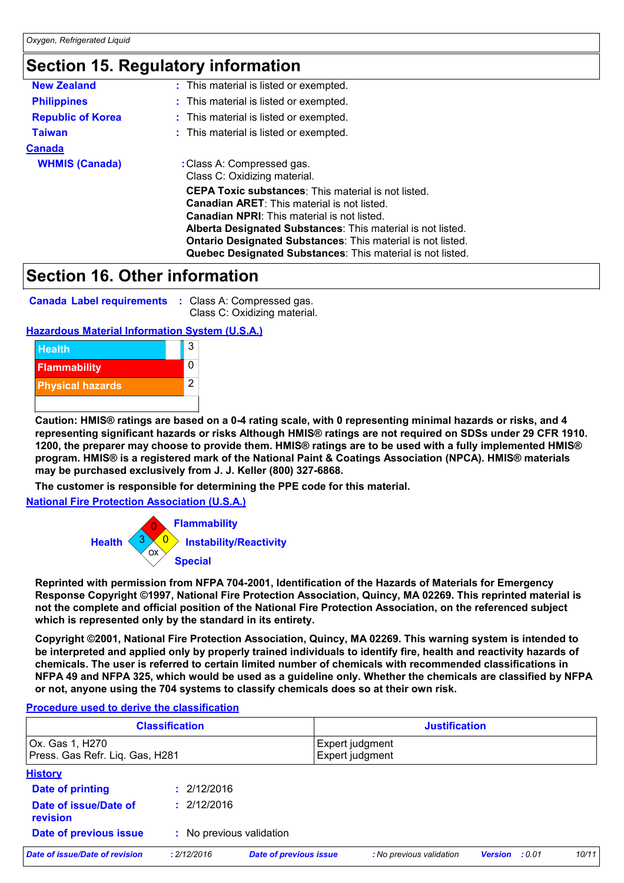### **Section 15. Regulatory information**

| <b>New Zealand</b>       | : This material is listed or exempted.                                                                                                                                                                                                                                                                                                                                    |  |  |  |
|--------------------------|---------------------------------------------------------------------------------------------------------------------------------------------------------------------------------------------------------------------------------------------------------------------------------------------------------------------------------------------------------------------------|--|--|--|
| <b>Philippines</b>       | : This material is listed or exempted.                                                                                                                                                                                                                                                                                                                                    |  |  |  |
| <b>Republic of Korea</b> | : This material is listed or exempted.                                                                                                                                                                                                                                                                                                                                    |  |  |  |
| <b>Taiwan</b>            | : This material is listed or exempted.                                                                                                                                                                                                                                                                                                                                    |  |  |  |
| <b>Canada</b>            |                                                                                                                                                                                                                                                                                                                                                                           |  |  |  |
| <b>WHMIS (Canada)</b>    | : Class A: Compressed gas.<br>Class C: Oxidizing material.                                                                                                                                                                                                                                                                                                                |  |  |  |
|                          | <b>CEPA Toxic substances:</b> This material is not listed.<br><b>Canadian ARET:</b> This material is not listed.<br><b>Canadian NPRI:</b> This material is not listed.<br>Alberta Designated Substances: This material is not listed.<br><b>Ontario Designated Substances: This material is not listed.</b><br>Quebec Designated Substances: This material is not listed. |  |  |  |

### **Section 16. Other information**

| <b>Canada Label requirements : Class A: C</b> |  |  |
|-----------------------------------------------|--|--|
|-----------------------------------------------|--|--|

**Compressed gas.** Class C: Oxidizing material.

#### **Hazardous Material Information System (U.S.A.)**



**Caution: HMIS® ratings are based on a 0-4 rating scale, with 0 representing minimal hazards or risks, and 4 representing significant hazards or risks Although HMIS® ratings are not required on SDSs under 29 CFR 1910. 1200, the preparer may choose to provide them. HMIS® ratings are to be used with a fully implemented HMIS® program. HMIS® is a registered mark of the National Paint & Coatings Association (NPCA). HMIS® materials may be purchased exclusively from J. J. Keller (800) 327-6868.**

**The customer is responsible for determining the PPE code for this material.**

**National Fire Protection Association (U.S.A.)**



**Reprinted with permission from NFPA 704-2001, Identification of the Hazards of Materials for Emergency Response Copyright ©1997, National Fire Protection Association, Quincy, MA 02269. This reprinted material is not the complete and official position of the National Fire Protection Association, on the referenced subject which is represented only by the standard in its entirety.**

**Copyright ©2001, National Fire Protection Association, Quincy, MA 02269. This warning system is intended to be interpreted and applied only by properly trained individuals to identify fire, health and reactivity hazards of chemicals. The user is referred to certain limited number of chemicals with recommended classifications in NFPA 49 and NFPA 325, which would be used as a guideline only. Whether the chemicals are classified by NFPA or not, anyone using the 704 systems to classify chemicals does so at their own risk.**

#### **Procedure used to derive the classification**

| <b>Classification</b>                              |                          |                               | <b>Justification</b>               |                          |       |  |
|----------------------------------------------------|--------------------------|-------------------------------|------------------------------------|--------------------------|-------|--|
| Ox. Gas 1, H270<br>Press. Gas Refr. Liq. Gas, H281 |                          |                               | Expert judgment<br>Expert judgment |                          |       |  |
| <b>History</b>                                     |                          |                               |                                    |                          |       |  |
| Date of printing                                   | : 2/12/2016              |                               |                                    |                          |       |  |
| Date of issue/Date of<br>revision                  | : 2/12/2016              |                               |                                    |                          |       |  |
| Date of previous issue                             | : No previous validation |                               |                                    |                          |       |  |
| Date of issue/Date of revision                     | : 2/12/2016              | <b>Date of previous issue</b> | : No previous validation           | <b>Version</b><br>: 0.01 | 10/11 |  |